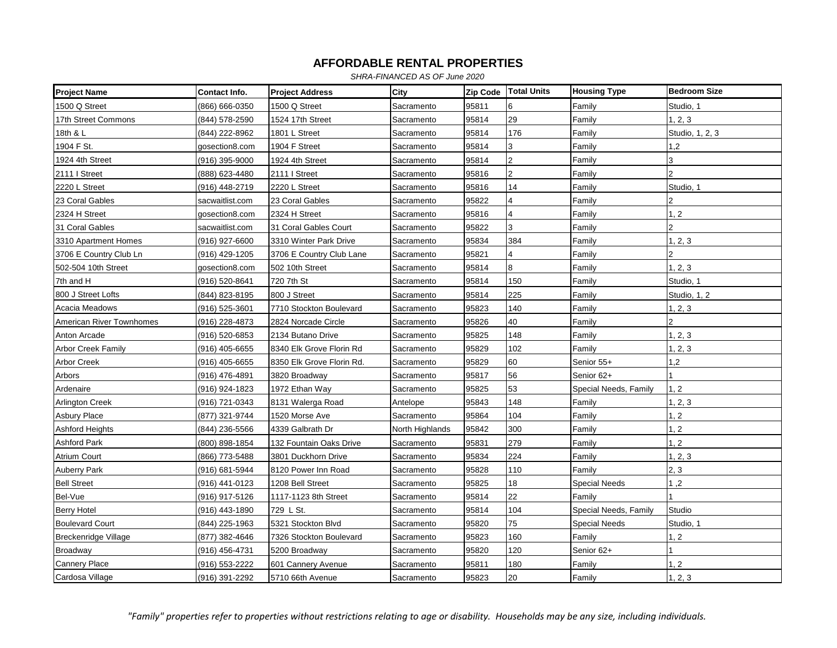*SHRA-FINANCED AS OF June 2020*

| <b>Project Name</b>       | Contact Info.   | <b>Project Address</b>    | City            | <b>Zip Code</b> | <b>Total Units</b>      | <b>Housing Type</b>   | <b>Bedroom Size</b> |
|---------------------------|-----------------|---------------------------|-----------------|-----------------|-------------------------|-----------------------|---------------------|
| 1500 Q Street             | (866) 666-0350  | 1500 Q Street             | Sacramento      | 95811           | 6                       | Family                | Studio, 1           |
| 17th Street Commons       | (844) 578-2590  | 1524 17th Street          | Sacramento      | 95814           | 29                      | Family                | 1, 2, 3             |
| 18th & L                  | (844) 222-8962  | 1801 L Street             | Sacramento      | 95814           | 176                     | Family                | Studio, 1, 2, 3     |
| 1904 F St.                | gosection8.com  | 1904 F Street             | Sacramento      | 95814           | 3                       | Family                | 1,2                 |
| 1924 4th Street           | (916) 395-9000  | 1924 4th Street           | Sacramento      | 95814           | $\overline{2}$          | Family                | 3                   |
| 2111   Street             | (888) 623-4480  | 2111   Street             | Sacramento      | 95816           | $\overline{2}$          | Family                | $\overline{2}$      |
| 2220 L Street             | (916) 448-2719  | 2220 L Street             | Sacramento      | 95816           | 14                      | Family                | Studio, 1           |
| 23 Coral Gables           | sacwaitlist.com | 23 Coral Gables           | Sacramento      | 95822           | 4                       | Family                |                     |
| 2324 H Street             | gosection8.com  | 2324 H Street             | Sacramento      | 95816           | $\overline{\mathbf{4}}$ | Family                | 1, 2                |
| 31 Coral Gables           | sacwaitlist.com | 31 Coral Gables Court     | Sacramento      | 95822           | 3                       | Family                | 2                   |
| 3310 Apartment Homes      | (916) 927-6600  | 3310 Winter Park Drive    | Sacramento      | 95834           | 384                     | Family                | 1, 2, 3             |
| 3706 E Country Club Ln    | (916) 429-1205  | 3706 E Country Club Lane  | Sacramento      | 95821           | 4                       | Family                |                     |
| 502-504 10th Street       | gosection8.com  | 502 10th Street           | Sacramento      | 95814           | 8                       | Family                | 1, 2, 3             |
| 7th and H                 | (916) 520-8641  | 720 7th St                | Sacramento      | 95814           | 150                     | Family                | Studio, 1           |
| 800 J Street Lofts        | (844) 823-8195  | 800 J Street              | Sacramento      | 95814           | 225                     | Family                | Studio, 1, 2        |
| Acacia Meadows            | (916) 525-3601  | 7710 Stockton Boulevard   | Sacramento      | 95823           | 140                     | Family                | 1, 2, 3             |
| American River Townhomes  | (916) 228-4873  | 2824 Norcade Circle       | Sacramento      | 95826           | 40                      | Family                |                     |
| Anton Arcade              | (916) 520-6853  | 2134 Butano Drive         | Sacramento      | 95825           | 148                     | Family                | 1, 2, 3             |
| <b>Arbor Creek Family</b> | (916) 405-6655  | 8340 Elk Grove Florin Rd  | Sacramento      | 95829           | 102                     | Family                | 1, 2, 3             |
| <b>Arbor Creek</b>        | (916) 405-6655  | 8350 Elk Grove Florin Rd. | Sacramento      | 95829           | 60                      | Senior 55+            | 1,2                 |
| Arbors                    | (916) 476-4891  | 3820 Broadway             | Sacramento      | 95817           | 56                      | Senior 62+            |                     |
| Ardenaire                 | (916) 924-1823  | 1972 Ethan Way            | Sacramento      | 95825           | 53                      | Special Needs, Family | 1, 2                |
| <b>Arlington Creek</b>    | (916) 721-0343  | 8131 Walerga Road         | Antelope        | 95843           | 148                     | Family                | 1, 2, 3             |
| Asbury Place              | (877) 321-9744  | 1520 Morse Ave            | Sacramento      | 95864           | 104                     | Family                | 1, 2                |
| <b>Ashford Heights</b>    | (844) 236-5566  | 4339 Galbrath Dr          | North Highlands | 95842           | 300                     | Family                | 1, 2                |
| Ashford Park              | (800) 898-1854  | 132 Fountain Oaks Drive   | Sacramento      | 95831           | 279                     | Family                | 1, 2                |
| <b>Atrium Court</b>       | (866) 773-5488  | 3801 Duckhorn Drive       | Sacramento      | 95834           | 224                     | Family                | 1, 2, 3             |
| <b>Auberry Park</b>       | (916) 681-5944  | 8120 Power Inn Road       | Sacramento      | 95828           | 110                     | Family                | 2, 3                |
| <b>Bell Street</b>        | (916) 441-0123  | 1208 Bell Street          | Sacramento      | 95825           | 18                      | Special Needs         | 1,2                 |
| Bel-Vue                   | (916) 917-5126  | 1117-1123 8th Street      | Sacramento      | 95814           | 22                      | Family                |                     |
| <b>Berry Hotel</b>        | (916) 443-1890  | 729 L St.                 | Sacramento      | 95814           | 104                     | Special Needs, Family | Studio              |
| <b>Boulevard Court</b>    | (844) 225-1963  | 5321 Stockton Blvd        | Sacramento      | 95820           | 75                      | Special Needs         | Studio, 1           |
| Breckenridge Village      | (877) 382-4646  | 7326 Stockton Boulevard   | Sacramento      | 95823           | 160                     | Family                | 1, 2                |
| <b>Broadway</b>           | (916) 456-4731  | 5200 Broadway             | Sacramento      | 95820           | 120                     | Senior 62+            |                     |
| <b>Cannery Place</b>      | (916) 553-2222  | 601 Cannery Avenue        | Sacramento      | 95811           | 180                     | Family                | 1, 2                |
| Cardosa Village           | (916) 391-2292  | 5710 66th Avenue          | Sacramento      | 95823           | 20                      | Family                | 1, 2, 3             |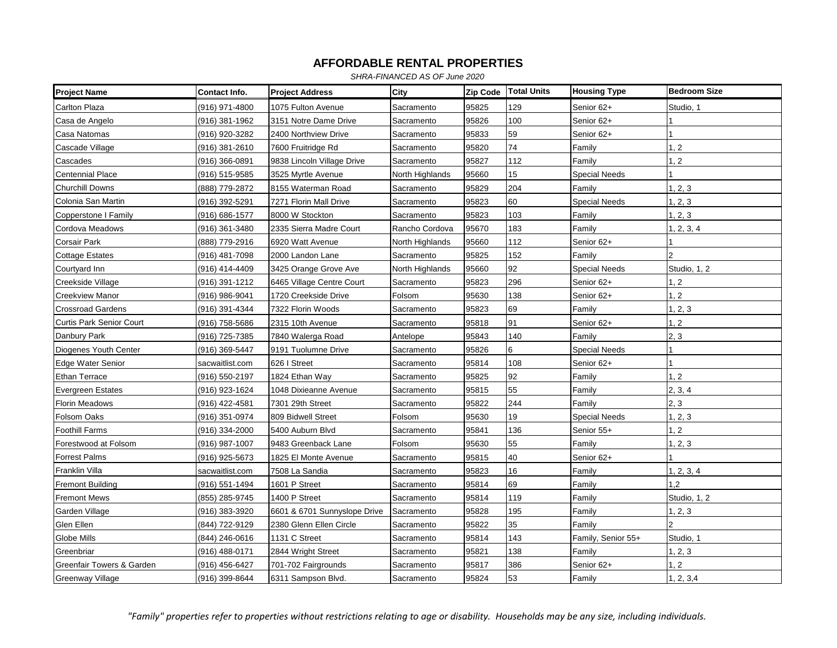*SHRA-FINANCED AS OF June 2020*

| <b>Project Name</b>             | Contact Info.   | <b>Project Address</b>       | City            | Zip Code | <b>Total Units</b> | <b>Housing Type</b>  | <b>Bedroom Size</b> |
|---------------------------------|-----------------|------------------------------|-----------------|----------|--------------------|----------------------|---------------------|
| Carlton Plaza                   | (916) 971-4800  | 1075 Fulton Avenue           | Sacramento      | 95825    | 129                | Senior 62+           | Studio, 1           |
| Casa de Angelo                  | (916) 381-1962  | 3151 Notre Dame Drive        | Sacramento      | 95826    | 100                | Senior 62+           |                     |
| Casa Natomas                    | (916) 920-3282  | 2400 Northview Drive         | Sacramento      | 95833    | 59                 | Senior 62+           |                     |
| Cascade Village                 | (916) 381-2610  | 7600 Fruitridge Rd           | Sacramento      | 95820    | 74                 | Family               | 1, 2                |
| Cascades                        | (916) 366-0891  | 9838 Lincoln Village Drive   | Sacramento      | 95827    | 112                | Family               | 1, 2                |
| <b>Centennial Place</b>         | (916) 515-9585  | 3525 Myrtle Avenue           | North Highlands | 95660    | 15                 | Special Needs        |                     |
| <b>Churchill Downs</b>          | (888) 779-2872  | 8155 Waterman Road           | Sacramento      | 95829    | 204                | Family               | 1, 2, 3             |
| Colonia San Martin              | (916) 392-5291  | 7271 Florin Mall Drive       | Sacramento      | 95823    | 60                 | <b>Special Needs</b> | 1, 2, 3             |
| Copperstone I Family            | (916) 686-1577  | 8000 W Stockton              | Sacramento      | 95823    | 103                | Family               | 1, 2, 3             |
| Cordova Meadows                 | (916) 361-3480  | 2335 Sierra Madre Court      | Rancho Cordova  | 95670    | 183                | Family               | 1, 2, 3, 4          |
| Corsair Park                    | (888) 779-2916  | 6920 Watt Avenue             | North Highlands | 95660    | 112                | Senior 62+           |                     |
| <b>Cottage Estates</b>          | (916) 481-7098  | 2000 Landon Lane             | Sacramento      | 95825    | 152                | Family               | $\overline{2}$      |
| Courtyard Inn                   | (916) 414-4409  | 3425 Orange Grove Ave        | North Highlands | 95660    | 92                 | <b>Special Needs</b> | Studio, 1, 2        |
| Creekside Village               | (916) 391-1212  | 6465 Village Centre Court    | Sacramento      | 95823    | 296                | Senior 62+           | 1, 2                |
| <b>Creekview Manor</b>          | (916) 986-9041  | 1720 Creekside Drive         | Folsom          | 95630    | 138                | Senior 62+           | 1, 2                |
| <b>Crossroad Gardens</b>        | (916) 391-4344  | 7322 Florin Woods            | Sacramento      | 95823    | 69                 | Family               | 1, 2, 3             |
| <b>Curtis Park Senior Court</b> | (916) 758-5686  | 2315 10th Avenue             | Sacramento      | 95818    | 91                 | Senior 62+           | 1, 2                |
| Danbury Park                    | (916) 725-7385  | 7840 Walerga Road            | Antelope        | 95843    | 140                | Family               | 2, 3                |
| Diogenes Youth Center           | (916) 369-5447  | 9191 Tuolumne Drive          | Sacramento      | 95826    | 6                  | Special Needs        |                     |
| Edge Water Senior               | sacwaitlist.com | 626   Street                 | Sacramento      | 95814    | 108                | Senior 62+           |                     |
| <b>Ethan Terrace</b>            | (916) 550-2197  | 1824 Ethan Way               | Sacramento      | 95825    | 92                 | Family               | 1, 2                |
| <b>Evergreen Estates</b>        | (916) 923-1624  | 1048 Dixieanne Avenue        | Sacramento      | 95815    | 55                 | Family               | 2, 3, 4             |
| Florin Meadows                  | (916) 422-4581  | 7301 29th Street             | Sacramento      | 95822    | 244                | Family               | 2, 3                |
| Folsom Oaks                     | (916) 351-0974  | 809 Bidwell Street           | Folsom          | 95630    | 19                 | <b>Special Needs</b> | 1, 2, 3             |
| <b>Foothill Farms</b>           | (916) 334-2000  | 5400 Auburn Blvd             | Sacramento      | 95841    | 136                | Senior 55+           | 1, 2                |
| Forestwood at Folsom            | (916) 987-1007  | 9483 Greenback Lane          | Folsom          | 95630    | 55                 | Family               | 1, 2, 3             |
| <b>Forrest Palms</b>            | (916) 925-5673  | 1825 El Monte Avenue         | Sacramento      | 95815    | 40                 | Senior 62+           |                     |
| Franklin Villa                  | sacwaitlist.com | 7508 La Sandia               | Sacramento      | 95823    | 16                 | Family               | 1, 2, 3, 4          |
| <b>Fremont Building</b>         | (916) 551-1494  | 1601 P Street                | Sacramento      | 95814    | 69                 | Family               | 1.2                 |
| <b>Fremont Mews</b>             | (855) 285-9745  | 1400 P Street                | Sacramento      | 95814    | 119                | Family               | Studio, 1, 2        |
| Garden Village                  | (916) 383-3920  | 6601 & 6701 Sunnyslope Drive | Sacramento      | 95828    | 195                | Family               | 1, 2, 3             |
| Glen Ellen                      | (844) 722-9129  | 2380 Glenn Ellen Circle      | Sacramento      | 95822    | 35                 | Family               | $\mathfrak{p}$      |
| Globe Mills                     | (844) 246-0616  | 1131 C Street                | Sacramento      | 95814    | 143                | Family, Senior 55+   | Studio, 1           |
| Greenbriar                      | (916) 488-0171  | 2844 Wright Street           | Sacramento      | 95821    | 138                | Family               | 1, 2, 3             |
| Greenfair Towers & Garden       | (916) 456-6427  | 701-702 Fairgrounds          | Sacramento      | 95817    | 386                | Senior 62+           | 1, 2                |
| <b>Greenway Village</b>         | (916) 399-8644  | 6311 Sampson Blvd.           | Sacramento      | 95824    | 53                 | Family               | 1, 2, 3, 4          |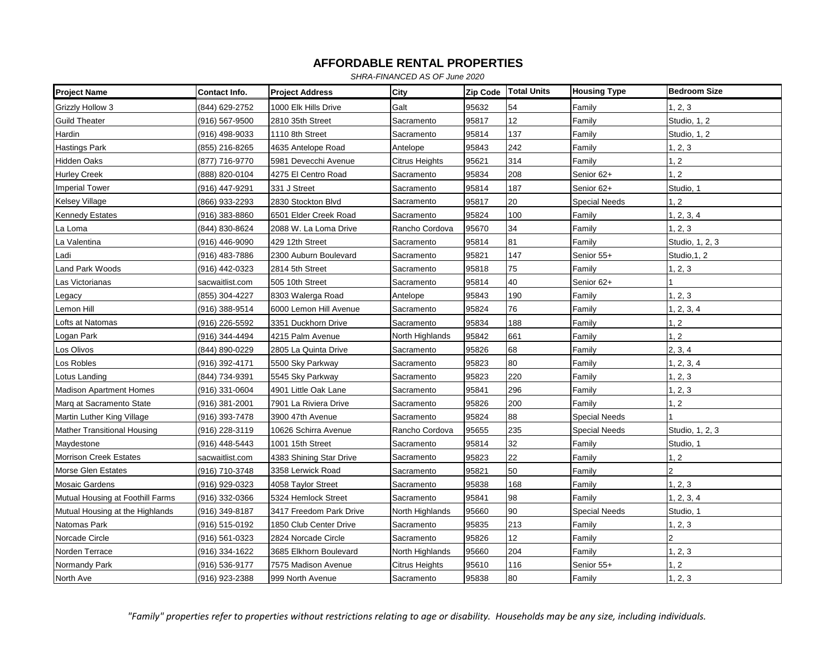*SHRA-FINANCED AS OF June 2020*

| <b>Project Name</b>                | Contact Info.   | <b>Project Address</b>  | City            | Zip Code | <b>Total Units</b> | <b>Housing Type</b>  | <b>Bedroom Size</b> |
|------------------------------------|-----------------|-------------------------|-----------------|----------|--------------------|----------------------|---------------------|
| Grizzly Hollow 3                   | (844) 629-2752  | 1000 Elk Hills Drive    | Galt            | 95632    | 54                 | Family               | 1, 2, 3             |
| <b>Guild Theater</b>               | (916) 567-9500  | 2810 35th Street        | Sacramento      | 95817    | 12                 | Family               | Studio, 1, 2        |
| Hardin                             | (916) 498-9033  | 1110 8th Street         | Sacramento      | 95814    | 137                | Family               | Studio, 1, 2        |
| <b>Hastings Park</b>               | (855) 216-8265  | 4635 Antelope Road      | Antelope        | 95843    | 242                | Family               | 1, 2, 3             |
| Hidden Oaks                        | (877) 716-9770  | 5981 Devecchi Avenue    | Citrus Heights  | 95621    | 314                | Family               | 1, 2                |
| <b>Hurley Creek</b>                | (888) 820-0104  | 4275 El Centro Road     | Sacramento      | 95834    | 208                | Senior 62+           | 1, 2                |
| <b>Imperial Tower</b>              | (916) 447-9291  | 331 J Street            | Sacramento      | 95814    | 187                | Senior 62+           | Studio, 1           |
| <b>Kelsey Village</b>              | (866) 933-2293  | 2830 Stockton Blvd      | Sacramento      | 95817    | 20                 | <b>Special Needs</b> | 1, 2                |
| <b>Kennedy Estates</b>             | (916) 383-8860  | 6501 Elder Creek Road   | Sacramento      | 95824    | 100                | Family               | 1, 2, 3, 4          |
| La Loma                            | (844) 830-8624  | 2088 W. La Loma Drive   | Rancho Cordova  | 95670    | 34                 | Family               | 1, 2, 3             |
| La Valentina                       | (916) 446-9090  | 429 12th Street         | Sacramento      | 95814    | 81                 | Family               | Studio, 1, 2, 3     |
| Ladi                               | (916) 483-7886  | 2300 Auburn Boulevard   | Sacramento      | 95821    | 147                | Senior 55+           | Studio, 1, 2        |
| Land Park Woods                    | (916) 442-0323  | 2814 5th Street         | Sacramento      | 95818    | 75                 | Family               | 1, 2, 3             |
| Las Victorianas                    | sacwaitlist.com | 505 10th Street         | Sacramento      | 95814    | 40                 | Senior 62+           |                     |
| Legacy                             | (855) 304-4227  | 8303 Walerga Road       | Antelope        | 95843    | 190                | Family               | 1, 2, 3             |
| Lemon Hill                         | (916) 388-9514  | 6000 Lemon Hill Avenue  | Sacramento      | 95824    | 76                 | Family               | 1, 2, 3, 4          |
| Lofts at Natomas                   | (916) 226-5592  | 3351 Duckhorn Drive     | Sacramento      | 95834    | 188                | Family               | 1, 2                |
| Logan Park                         | (916) 344-4494  | 4215 Palm Avenue        | North Highlands | 95842    | 661                | Family               | 1, 2                |
| Los Olivos                         | (844) 890-0229  | 2805 La Quinta Drive    | Sacramento      | 95826    | 68                 | Family               | 2, 3, 4             |
| Los Robles                         | (916) 392-4171  | 5500 Sky Parkway        | Sacramento      | 95823    | 80                 | Family               | 1, 2, 3, 4          |
| Lotus Landing                      | (844) 734-9391  | 5545 Sky Parkway        | Sacramento      | 95823    | 220                | Family               | 1, 2, 3             |
| <b>Madison Apartment Homes</b>     | (916) 331-0604  | 4901 Little Oak Lane    | Sacramento      | 95841    | 296                | Family               | 1, 2, 3             |
| Marg at Sacramento State           | (916) 381-2001  | 7901 La Riviera Drive   | Sacramento      | 95826    | 200                | Family               | 1, 2                |
| Martin Luther King Village         | (916) 393-7478  | 3900 47th Avenue        | Sacramento      | 95824    | 88                 | <b>Special Needs</b> |                     |
| <b>Mather Transitional Housing</b> | (916) 228-3119  | 10626 Schirra Avenue    | Rancho Cordova  | 95655    | 235                | Special Needs        | Studio, 1, 2, 3     |
| Maydestone                         | (916) 448-5443  | 1001 15th Street        | Sacramento      | 95814    | 32                 | Family               | Studio, 1           |
| <b>Morrison Creek Estates</b>      | sacwaitlist.com | 4383 Shining Star Drive | Sacramento      | 95823    | 22                 | Family               | 1, 2                |
| Morse Glen Estates                 | (916) 710-3748  | 3358 Lerwick Road       | Sacramento      | 95821    | 50                 | Family               |                     |
| <b>Mosaic Gardens</b>              | (916) 929-0323  | 4058 Taylor Street      | Sacramento      | 95838    | 168                | Family               | 1, 2, 3             |
| Mutual Housing at Foothill Farms   | (916) 332-0366  | 5324 Hemlock Street     | Sacramento      | 95841    | 98                 | Family               | 1, 2, 3, 4          |
| Mutual Housing at the Highlands    | (916) 349-8187  | 3417 Freedom Park Drive | North Highlands | 95660    | 90                 | Special Needs        | Studio, 1           |
| Natomas Park                       | (916) 515-0192  | 1850 Club Center Drive  | Sacramento      | 95835    | 213                | Family               | 1, 2, 3             |
| Norcade Circle                     | (916) 561-0323  | 2824 Norcade Circle     | Sacramento      | 95826    | 12                 | Family               |                     |
| Norden Terrace                     | (916) 334-1622  | 3685 Elkhorn Boulevard  | North Highlands | 95660    | 204                | Family               | 1, 2, 3             |
| Normandy Park                      | (916) 536-9177  | 7575 Madison Avenue     | Citrus Heights  | 95610    | 116                | Senior 55+           | 1, 2                |
| North Ave                          | (916) 923-2388  | 999 North Avenue        | Sacramento      | 95838    | 80                 | Family               | 1, 2, 3             |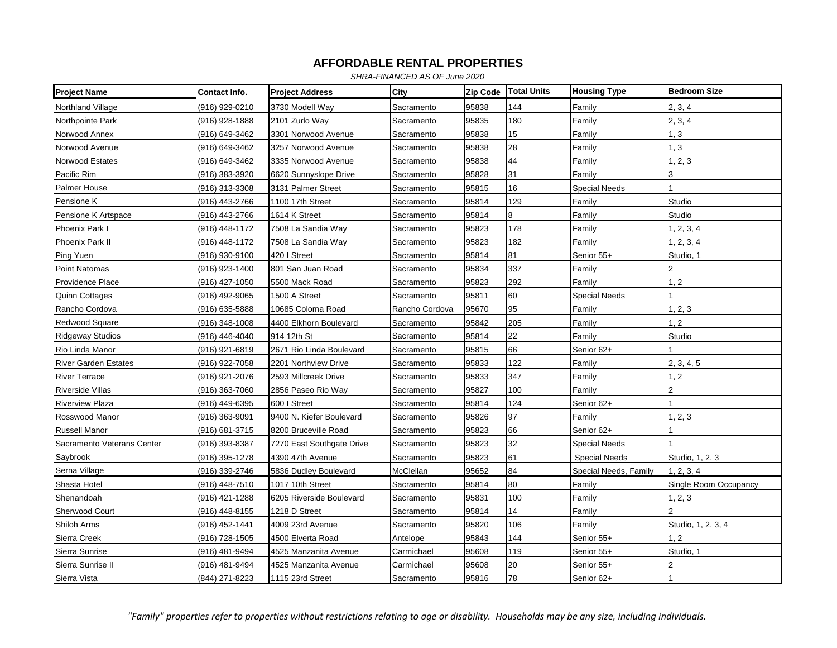*SHRA-FINANCED AS OF June 2020*

| <b>Project Name</b>         | Contact Info.  | <b>Project Address</b>    | City           | Zip Code | <b>Total Units</b> | <b>Housing Type</b>   | <b>Bedroom Size</b>   |
|-----------------------------|----------------|---------------------------|----------------|----------|--------------------|-----------------------|-----------------------|
| Northland Village           | (916) 929-0210 | 3730 Modell Way           | Sacramento     | 95838    | 144                | Family                | 2, 3, 4               |
| Northpointe Park            | (916) 928-1888 | 2101 Zurlo Way            | Sacramento     | 95835    | 180                | Family                | 2, 3, 4               |
| Norwood Annex               | (916) 649-3462 | 3301 Norwood Avenue       | Sacramento     | 95838    | 15                 | Family                | 1, 3                  |
| Norwood Avenue              | (916) 649-3462 | 3257 Norwood Avenue       | Sacramento     | 95838    | 28                 | Family                | 1, 3                  |
| Norwood Estates             | (916) 649-3462 | 3335 Norwood Avenue       | Sacramento     | 95838    | 44                 | Family                | 1, 2, 3               |
| Pacific Rim                 | (916) 383-3920 | 6620 Sunnyslope Drive     | Sacramento     | 95828    | 31                 | Family                | 3                     |
| Palmer House                | (916) 313-3308 | 3131 Palmer Street        | Sacramento     | 95815    | 16                 | <b>Special Needs</b>  |                       |
| Pensione K                  | (916) 443-2766 | 1100 17th Street          | Sacramento     | 95814    | 129                | Family                | Studio                |
| Pensione K Artspace         | (916) 443-2766 | 1614 K Street             | Sacramento     | 95814    | 8                  | Family                | Studio                |
| Phoenix Park I              | (916) 448-1172 | 7508 La Sandia Way        | Sacramento     | 95823    | 178                | Family                | 1, 2, 3, 4            |
| Phoenix Park II             | (916) 448-1172 | 7508 La Sandia Way        | Sacramento     | 95823    | 182                | Family                | 1, 2, 3, 4            |
| Ping Yuen                   | (916) 930-9100 | 420   Street              | Sacramento     | 95814    | 81                 | Senior 55+            | Studio, 1             |
| Point Natomas               | (916) 923-1400 | 801 San Juan Road         | Sacramento     | 95834    | 337                | Family                |                       |
| Providence Place            | (916) 427-1050 | 5500 Mack Road            | Sacramento     | 95823    | 292                | Family                | 1, 2                  |
| <b>Quinn Cottages</b>       | (916) 492-9065 | 1500 A Street             | Sacramento     | 95811    | 60                 | <b>Special Needs</b>  |                       |
| Rancho Cordova              | (916) 635-5888 | 10685 Coloma Road         | Rancho Cordova | 95670    | 95                 | Family                | 1, 2, 3               |
| <b>Redwood Square</b>       | (916) 348-1008 | 4400 Elkhorn Boulevard    | Sacramento     | 95842    | 205                | Family                | 1, 2                  |
| <b>Ridgeway Studios</b>     | (916) 446-4040 | 914 12th St               | Sacramento     | 95814    | 22                 | Family                | Studio                |
| Rio Linda Manor             | (916) 921-6819 | 2671 Rio Linda Boulevard  | Sacramento     | 95815    | 66                 | Senior 62+            |                       |
| <b>River Garden Estates</b> | (916) 922-7058 | 2201 Northview Drive      | Sacramento     | 95833    | 122                | Family                | 2, 3, 4, 5            |
| <b>River Terrace</b>        | (916) 921-2076 | 2593 Millcreek Drive      | Sacramento     | 95833    | 347                | Family                | 1, 2                  |
| <b>Riverside Villas</b>     | (916) 363-7060 | 2856 Paseo Rio Way        | Sacramento     | 95827    | 100                | Family                | $\overline{2}$        |
| <b>Riverview Plaza</b>      | (916) 449-6395 | 600   Street              | Sacramento     | 95814    | 124                | Senior 62+            |                       |
| Rosswood Manor              | (916) 363-9091 | 9400 N. Kiefer Boulevard  | Sacramento     | 95826    | 97                 | Family                | 1, 2, 3               |
| <b>Russell Manor</b>        | (916) 681-3715 | 8200 Bruceville Road      | Sacramento     | 95823    | 66                 | Senior 62+            |                       |
| Sacramento Veterans Center  | (916) 393-8387 | 7270 East Southgate Drive | Sacramento     | 95823    | 32                 | <b>Special Needs</b>  |                       |
| Saybrook                    | (916) 395-1278 | 4390 47th Avenue          | Sacramento     | 95823    | 61                 | <b>Special Needs</b>  | Studio, 1, 2, 3       |
| Serna Village               | (916) 339-2746 | 5836 Dudley Boulevard     | McClellan      | 95652    | 84                 | Special Needs, Family | 1, 2, 3, 4            |
| Shasta Hotel                | (916) 448-7510 | 1017 10th Street          | Sacramento     | 95814    | 80                 | Family                | Single Room Occupancy |
| Shenandoah                  | (916) 421-1288 | 6205 Riverside Boulevard  | Sacramento     | 95831    | 100                | Family                | 1, 2, 3               |
| Sherwood Court              | (916) 448-8155 | 1218 D Street             | Sacramento     | 95814    | 14                 | Family                |                       |
| Shiloh Arms                 | (916) 452-1441 | 4009 23rd Avenue          | Sacramento     | 95820    | 106                | Family                | Studio, 1, 2, 3, 4    |
| Sierra Creek                | (916) 728-1505 | 4500 Elverta Road         | Antelope       | 95843    | 144                | Senior 55+            | 1, 2                  |
| Sierra Sunrise              | (916) 481-9494 | 4525 Manzanita Avenue     | Carmichael     | 95608    | 119                | Senior 55+            | Studio, 1             |
| Sierra Sunrise II           | (916) 481-9494 | 4525 Manzanita Avenue     | Carmichael     | 95608    | 20                 | Senior 55+            |                       |
| Sierra Vista                | (844) 271-8223 | 1115 23rd Street          | Sacramento     | 95816    | 78                 | Senior 62+            |                       |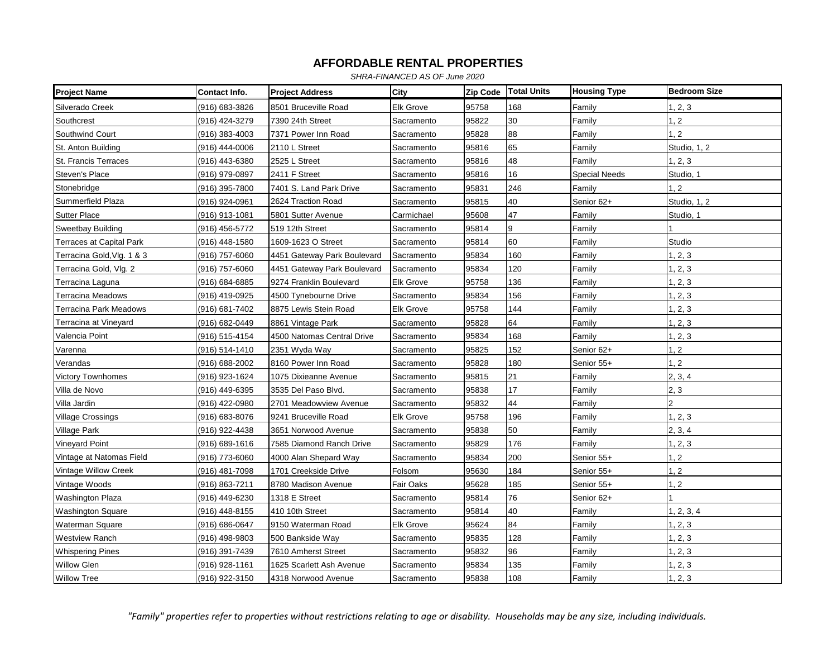*SHRA-FINANCED AS OF June 2020*

| <b>Project Name</b>             | Contact Info.  | <b>Project Address</b>      | City             | Zip Code | <b>Total Units</b> | <b>Housing Type</b>  | <b>Bedroom Size</b> |
|---------------------------------|----------------|-----------------------------|------------------|----------|--------------------|----------------------|---------------------|
| Silverado Creek                 | (916) 683-3826 | 8501 Bruceville Road        | <b>Elk Grove</b> | 95758    | 168                | Family               | 1, 2, 3             |
| Southcrest                      | (916) 424-3279 | 7390 24th Street            | Sacramento       | 95822    | 30                 | Family               | 1, 2                |
| Southwind Court                 | (916) 383-4003 | 7371 Power Inn Road         | Sacramento       | 95828    | 88                 | Family               | $\overline{2}$      |
| St. Anton Building              | (916) 444-0006 | 2110 L Street               | Sacramento       | 95816    | 65                 | Family               | Studio, 1, 2        |
| St. Francis Terraces            | (916) 443-6380 | 2525 L Street               | Sacramento       | 95816    | 48                 | Family               | 1, 2, 3             |
| Steven's Place                  | (916) 979-0897 | 2411 F Street               | Sacramento       | 95816    | 16                 | <b>Special Needs</b> | Studio, 1           |
| Stonebridge                     | (916) 395-7800 | 7401 S. Land Park Drive     | Sacramento       | 95831    | 246                | Family               | 1, 2                |
| Summerfield Plaza               | (916) 924-0961 | 2624 Traction Road          | Sacramento       | 95815    | 40                 | Senior 62+           | Studio, 1, 2        |
| <b>Sutter Place</b>             | (916) 913-1081 | 5801 Sutter Avenue          | Carmichael       | 95608    | 47                 | Family               | Studio, 1           |
| <b>Sweetbay Building</b>        | (916) 456-5772 | 519 12th Street             | Sacramento       | 95814    | 9                  | Family               |                     |
| <b>Terraces at Capital Park</b> | (916) 448-1580 | 1609-1623 O Street          | Sacramento       | 95814    | 60                 | Family               | Studio              |
| Terracina Gold, Vlg. 1 & 3      | (916) 757-6060 | 4451 Gateway Park Boulevard | Sacramento       | 95834    | 160                | Family               | 1, 2, 3             |
| Terracina Gold, Vlg. 2          | (916) 757-6060 | 4451 Gateway Park Boulevard | Sacramento       | 95834    | 120                | Family               | 1, 2, 3             |
| Terracina Laguna                | (916) 684-6885 | 9274 Franklin Boulevard     | <b>Elk Grove</b> | 95758    | 136                | Family               | 1, 2, 3             |
| <b>Terracina Meadows</b>        | (916) 419-0925 | 4500 Tynebourne Drive       | Sacramento       | 95834    | 156                | Family               | 1, 2, 3             |
| Terracina Park Meadows          | (916) 681-7402 | 8875 Lewis Stein Road       | <b>Elk Grove</b> | 95758    | 144                | Family               | 1, 2, 3             |
| Terracina at Vineyard           | (916) 682-0449 | 8861 Vintage Park           | Sacramento       | 95828    | 64                 | Family               | 1, 2, 3             |
| Valencia Point                  | (916) 515-4154 | 4500 Natomas Central Drive  | Sacramento       | 95834    | 168                | Family               | 1, 2, 3             |
| Varenna                         | (916) 514-1410 | 2351 Wyda Way               | Sacramento       | 95825    | 152                | Senior 62+           | 1, 2                |
| Verandas                        | (916) 688-2002 | 8160 Power Inn Road         | Sacramento       | 95828    | 180                | Senior 55+           | 1, 2                |
| Victory Townhomes               | (916) 923-1624 | 1075 Dixieanne Avenue       | Sacramento       | 95815    | 21                 | Family               | 2, 3, 4             |
| Villa de Novo                   | (916) 449-6395 | 3535 Del Paso Blvd.         | Sacramento       | 95838    | 17                 | Family               | 2, 3                |
| Villa Jardin                    | (916) 422-0980 | 2701 Meadowview Avenue      | Sacramento       | 95832    | 44                 | Family               |                     |
| Village Crossings               | (916) 683-8076 | 9241 Bruceville Road        | <b>Elk Grove</b> | 95758    | 196                | Family               | 1, 2, 3             |
| <b>Village Park</b>             | (916) 922-4438 | 3651 Norwood Avenue         | Sacramento       | 95838    | 50                 | Family               | 2, 3, 4             |
| <b>Vineyard Point</b>           | (916) 689-1616 | 7585 Diamond Ranch Drive    | Sacramento       | 95829    | 176                | Family               | 1, 2, 3             |
| Vintage at Natomas Field        | (916) 773-6060 | 4000 Alan Shepard Way       | Sacramento       | 95834    | 200                | Senior 55+           | 1, 2                |
| Vintage Willow Creek            | (916) 481-7098 | 1701 Creekside Drive        | Folsom           | 95630    | 184                | Senior 55+           | 1, 2                |
| Vintage Woods                   | (916) 863-7211 | 8780 Madison Avenue         | Fair Oaks        | 95628    | 185                | Senior 55+           | 1, 2                |
| <b>Washington Plaza</b>         | (916) 449-6230 | 1318 E Street               | Sacramento       | 95814    | 76                 | Senior 62+           |                     |
| <b>Washington Square</b>        | (916) 448-8155 | 410 10th Street             | Sacramento       | 95814    | 40                 | Family               | 1, 2, 3, 4          |
| Waterman Square                 | (916) 686-0647 | 9150 Waterman Road          | <b>Elk Grove</b> | 95624    | 84                 | Family               | 1, 2, 3             |
| <b>Westview Ranch</b>           | (916) 498-9803 | 500 Bankside Way            | Sacramento       | 95835    | 128                | Family               | 1, 2, 3             |
| <b>Whispering Pines</b>         | (916) 391-7439 | 7610 Amherst Street         | Sacramento       | 95832    | 96                 | Family               | 1, 2, 3             |
| <b>Willow Glen</b>              | (916) 928-1161 | 1625 Scarlett Ash Avenue    | Sacramento       | 95834    | 135                | Family               | , 2, 3              |
| <b>Willow Tree</b>              | (916) 922-3150 | 4318 Norwood Avenue         | Sacramento       | 95838    | 108                | Family               | 1, 2, 3             |